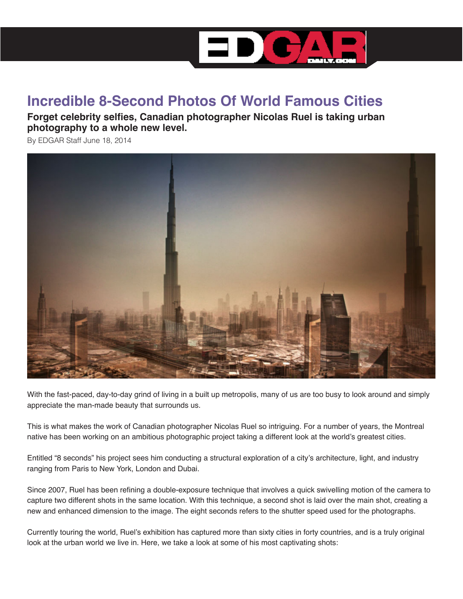

## **Incredible 8-Second Photos Of World Famous Cities**

**Forget celebrity selfies, Canadian photographer Nicolas Ruel is taking urban photography to a whole new level.**

By EDGAR Staff June 18, 2014



With the fast-paced, day-to-day grind of living in a built up metropolis, many of us are too busy to look around and simply appreciate the man-made beauty that surrounds us.

This is what makes the work of Canadian photographer Nicolas Ruel so intriguing. For a number of years, the Montreal native has been working on an ambitious photographic project taking a different look at the world's greatest cities.

Entitled "8 seconds" his project sees him conducting a structural exploration of a city's architecture, light, and industry ranging from Paris to New York, London and Dubai.

Since 2007, Ruel has been refining a double-exposure technique that involves a quick swivelling motion of the camera to capture two different shots in the same location. With this technique, a second shot is laid over the main shot, creating a new and enhanced dimension to the image. The eight seconds refers to the shutter speed used for the photographs.

Currently touring the world, Ruel's exhibition has captured more than sixty cities in forty countries, and is a truly original look at the urban world we live in. Here, we take a look at some of his most captivating shots: